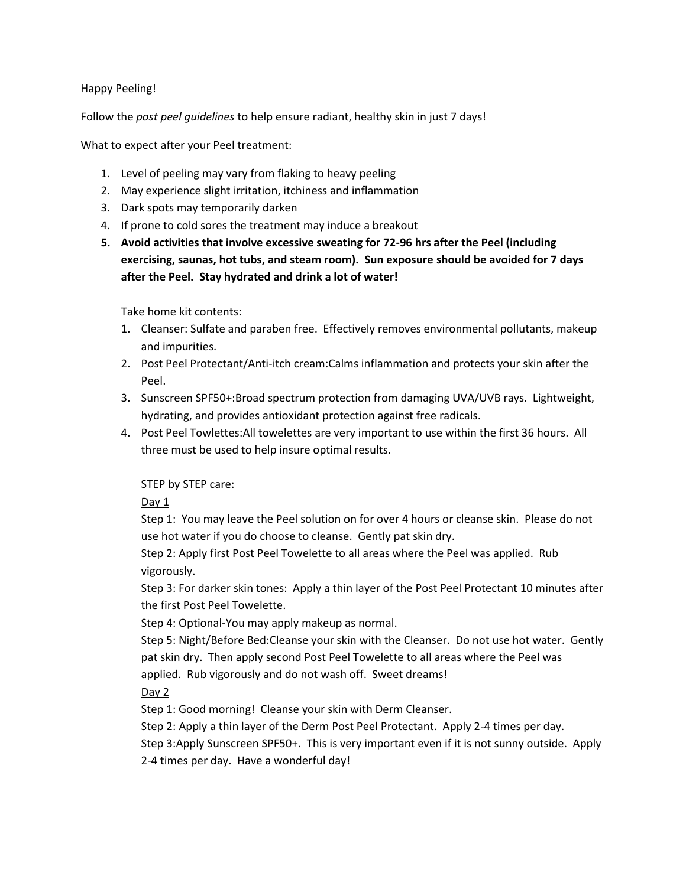## Happy Peeling!

Follow the *post peel guidelines* to help ensure radiant, healthy skin in just 7 days!

What to expect after your Peel treatment:

- 1. Level of peeling may vary from flaking to heavy peeling
- 2. May experience slight irritation, itchiness and inflammation
- 3. Dark spots may temporarily darken
- 4. If prone to cold sores the treatment may induce a breakout
- **5. Avoid activities that involve excessive sweating for 72-96 hrs after the Peel (including exercising, saunas, hot tubs, and steam room). Sun exposure should be avoided for 7 days after the Peel. Stay hydrated and drink a lot of water!**

Take home kit contents:

- 1. Cleanser: Sulfate and paraben free. Effectively removes environmental pollutants, makeup and impurities.
- 2. Post Peel Protectant/Anti-itch cream:Calms inflammation and protects your skin after the Peel.
- 3. Sunscreen SPF50+:Broad spectrum protection from damaging UVA/UVB rays. Lightweight, hydrating, and provides antioxidant protection against free radicals.
- 4. Post Peel Towlettes:All towelettes are very important to use within the first 36 hours. All three must be used to help insure optimal results.

STEP by STEP care:

Day 1

Step 1: You may leave the Peel solution on for over 4 hours or cleanse skin. Please do not use hot water if you do choose to cleanse. Gently pat skin dry.

Step 2: Apply first Post Peel Towelette to all areas where the Peel was applied. Rub vigorously.

Step 3: For darker skin tones: Apply a thin layer of the Post Peel Protectant 10 minutes after the first Post Peel Towelette.

Step 4: Optional-You may apply makeup as normal.

Step 5: Night/Before Bed:Cleanse your skin with the Cleanser. Do not use hot water. Gently pat skin dry. Then apply second Post Peel Towelette to all areas where the Peel was applied. Rub vigorously and do not wash off. Sweet dreams!

Day 2

Step 1: Good morning! Cleanse your skin with Derm Cleanser.

Step 2: Apply a thin layer of the Derm Post Peel Protectant. Apply 2-4 times per day.

Step 3:Apply Sunscreen SPF50+. This is very important even if it is not sunny outside. Apply 2-4 times per day. Have a wonderful day!